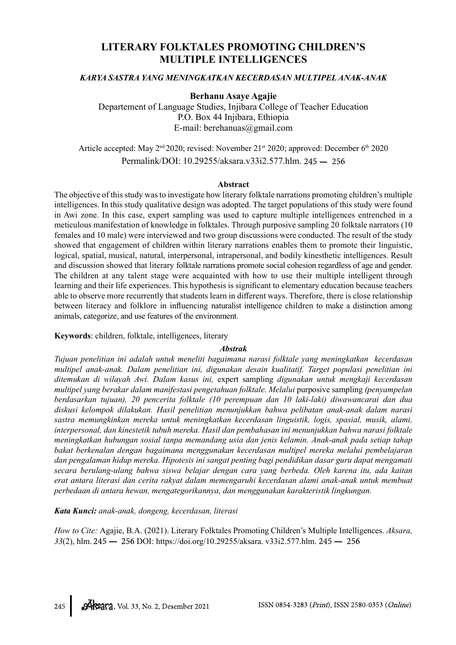# LITERARY FOLKTALES PROMOTING CHILDREN'S MULTIPLE INTELLIGENCES

### KARYA SASTRA YANG MENINGKATKAN KECERDASAN MULTIPEL ANAK-ANAK

#### Berhanu Asaye Agajie

Departement of Language Studies, Injibara College of Teacher Education P.O. Box 44 Injibara, Ethiopia E-mail: berehanuas@gmail.com

Article accepted: May 2<sup>nd</sup> 2020; revised: November 21<sup>st</sup> 2020; approved: December 6<sup>th</sup> 2020 Permalink/DOI: 10.29255/aksara.v33i2.577.hlm.

#### Abstract

The objective of this study was to investigate how literary folktale narrations promoting children's multiple intelligences. In this study qualitative design was adopted. The target populations of this study were found in Awi zone. In this case, expert sampling was used to capture multiple intelligences entrenched in a meticulous manifestation of knowledge in folktales. Through purposive sampling 20 folktale narrators (10 females and 10 male) were interviewed and two group discussions were conducted. The result of the study showed that engagement of children within literary narrations enables them to promote their linguistic, logical, spatial, musical, natural, interpersonal, intrapersonal, and bodily kinesthetic intelligences. Result and discussion showed that literary folktale narrations promote social cohesion regardless of age and gender. The children at any talent stage were acquainted with how to use their multiple intelligent through learning and their life experiences. This hypothesis is significant to elementary education because teachers able to observe more recurrently that students learn in different ways. Therefore, there is close relationship between literacy and folklore in influencing naturalist intelligence children to make a distinction among animals, categorize, and use features of the environment.

Keywords: children, folktale, intelligences, literary

#### Abstrak

Tujuan penelitian ini adalah untuk meneliti bagaimana narasi folktale yang meningkatkan kecerdasan multipel anak-anak. Dalam penelitian ini, digunakan desain kualitatif. Target populasi penelitian ini ditemukan di wilayah Awi. Dalam kasus ini, expert sampling digunakan untuk mengkaji kecerdasan multipel yang berakar dalam manifestasi pengetahuan folktale. Melalui purposive sampling (penyampelan berdasarkan tujuan), 20 pencerita folktale (10 perempuan dan 10 laki-laki) diwawancarai dan dua diskusi kelompok dilakukan. Hasil penelitian menunjukkan bahwa pelibatan anak-anak dalam narasi sastra memungkinkan mereka untuk meningkatkan kecerdasan linguistik, logis, spasial, musik, alami, interpersonal, dan kinestetik tubuh mereka. Hasil dan pembahasan ini menunjukkan bahwa narasi folktale meningkatkan hubungan sosial tanpa memandang usia dan jenis kelamin. Anak-anak pada setiap tahap bakat berkenalan dengan bagaimana menggunakan kecerdasan multipel mereka melalui pembelajaran dan pengalaman hidup mereka. Hipotesis ini sangat penting bagi pendidikan dasar guru dapat mengamati secara berulang-ulang bahwa siswa belajar dengan cara yang berbeda. Oleh karena itu, ada kaitan erat antara literasi dan cerita rakyat dalam memengaruhi kecerdasan alami anak-anak untuk membuat perbedaan di antara hewan, mengategorikannya, dan menggunakan karakteristik lingkungan.

Kata Kunci: anak-anak, dongeng, kecerdasan, literasi

How to Cite: Agajie, B.A. (2021). Literary Folktales Promoting Children's Multiple Intelligences. Aksara,  $33(2)$ , hlm.  $245 - 256$  DOI: https://doi.org/10.29255/aksara. v33i2.577.hlm.  $245 - 256$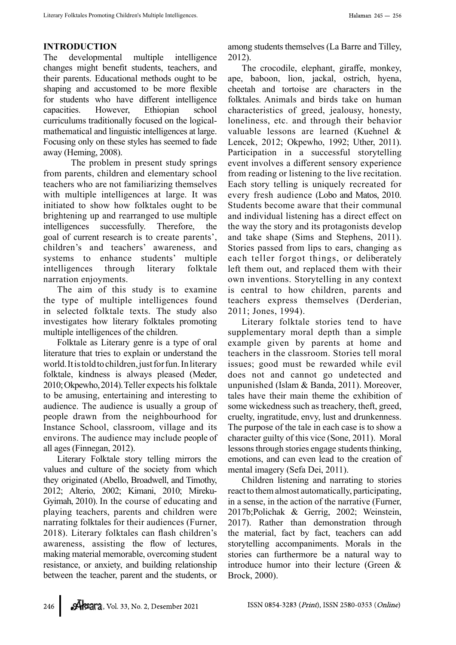# INTRODUCTION

The developmental multiple intelligence changes might benefit students, teachers, and their parents. Educational methods ought to be shaping and accustomed to be more flexible for students who have different intelligence capacities. However, Ethiopian school curriculums traditionally focused on the logicalmathematical and linguistic intelligences at large. Focusing only on these styles has seemed to fade away (Heming, 2008).

 The problem in present study springs from parents, children and elementary school teachers who are not familiarizing themselves with multiple intelligences at large. It was initiated to show how folktales ought to be brightening up and rearranged to use multiple intelligences successfully. Therefore, the goal of current research is to create parents', children's and teachers' awareness, and systems to enhance students' multiple intelligences through literary folktale narration enjoyments.

The aim of this study is to examine the type of multiple intelligences found in selected folktale texts. The study also investigates how literary folktales promoting multiple intelligences of the children.

Folktale as Literary genre is a type of oral literature that tries to explain or understand the world. It is told to children, just for fun. In literary folktale, kindness is always pleased (Meder, 2010; Okpewho, 2014). Teller expects his folktale to be amusing, entertaining and interesting to audience. The audience is usually a group of people drawn from the neighbourhood for Instance School, classroom, village and its environs. The audience may include people of all ages (Finnegan, 2012).

Literary Folktale story telling mirrors the values and culture of the society from which they originated (Abello, Broadwell, and Timothy, 2012; Alterio, 2002; Kimani, 2010; Mireku-Gyimah, 2010). In the course of educating and playing teachers, parents and children were narrating folktales for their audiences (Furner, 2018). Literary folktales can flash children's awareness, assisting the flow of lectures, making material memorable, overcoming student resistance, or anxiety, and building relationship between the teacher, parent and the students, or

among students themselves (La Barre and Tilley, 2012).

The crocodile, elephant, giraffe, monkey, ape, baboon, lion, jackal, ostrich, hyena, cheetah and tortoise are characters in the folktales. Animals and birds take on human characteristics of greed, jealousy, honesty, loneliness, etc. and through their behavior valuable lessons are learned (Kuehnel & Lencek, 2012; Okpewho, 1992; Uther, 2011). Participation in a successful storytelling event involves a different sensory experience from reading or listening to the live recitation. Each story telling is uniquely recreated for every fresh audience (Lobo and Matos, 2010. Students become aware that their communal and individual listening has a direct effect on the way the story and its protagonists develop and take shape (Sims and Stephens, 2011). Stories passed from lips to ears, changing as each teller forgot things, or deliberately left them out, and replaced them with their own inventions. Storytelling in any context is central to how children, parents and teachers express themselves (Derderian, 2011; Jones, 1994).

Literary folktale stories tend to have supplementary moral depth than a simple example given by parents at home and teachers in the classroom. Stories tell moral issues; good must be rewarded while evil does not and cannot go undetected and unpunished (Islam & Banda, 2011). Moreover, tales have their main theme the exhibition of some wickedness such as treachery, theft, greed, cruelty, ingratitude, envy, lust and drunkenness. The purpose of the tale in each case is to show a character guilty of this vice (Sone, 2011). Moral lessons through stories engage students thinking, emotions, and can even lead to the creation of mental imagery (Sefa Dei, 2011).

Children listening and narrating to stories react to them almost automatically, participating, in a sense, in the action of the narrative (Furner, 2017b;Polichak & Gerrig, 2002; Weinstein, 2017). Rather than demonstration through the material, fact by fact, teachers can add storytelling accompaniments. Morals in the stories can furthermore be a natural way to introduce humor into their lecture (Green & Brock, 2000).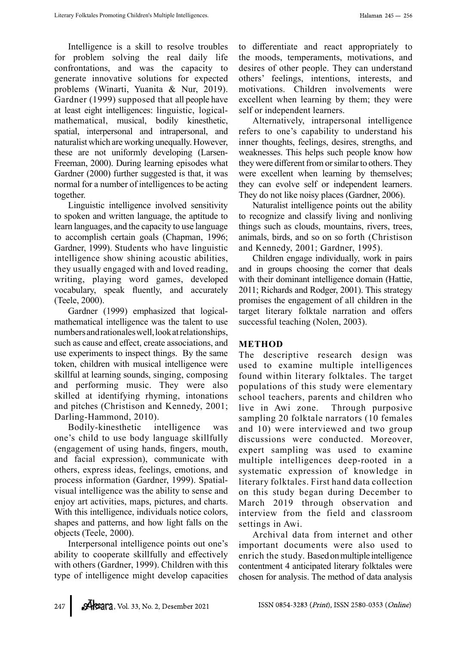Intelligence is a skill to resolve troubles for problem solving the real daily life confrontations, and was the capacity to generate innovative solutions for expected problems (Winarti, Yuanita & Nur, 2019). Gardner (1999) supposed that all people have at least eight intelligences: linguistic, logicalmathematical, musical, bodily kinesthetic, spatial, interpersonal and intrapersonal, and naturalist which are working unequally. However, these are not uniformly developing (Larsen-Freeman, 2000). During learning episodes what Gardner (2000) further suggested is that, it was normal for a number of intelligences to be acting together.

Linguistic intelligence involved sensitivity to spoken and written language, the aptitude to learn languages, and the capacity to use language to accomplish certain goals (Chapman, 1996; Gardner, 1999). Students who have linguistic intelligence show shining acoustic abilities, they usually engaged with and loved reading, writing, playing word games, developed vocabulary, speak fluently, and accurately (Teele, 2000).

Gardner (1999) emphasized that logicalmathematical intelligence was the talent to use numbers and rationales well, look at relationships, such as cause and effect, create associations, and use experiments to inspect things. By the same token, children with musical intelligence were skillful at learning sounds, singing, composing and performing music. They were also skilled at identifying rhyming, intonations and pitches (Christison and Kennedy, 2001; Darling-Hammond, 2010).

Bodily-kinesthetic intelligence was one's child to use body language skillfully (engagement of using hands, fingers, mouth, and facial expression), communicate with others, express ideas, feelings, emotions, and process information (Gardner, 1999). Spatialvisual intelligence was the ability to sense and enjoy art activities, maps, pictures, and charts. With this intelligence, individuals notice colors, shapes and patterns, and how light falls on the objects (Teele, 2000).

Interpersonal intelligence points out one's ability to cooperate skillfully and effectively with others (Gardner, 1999). Children with this type of intelligence might develop capacities to differentiate and react appropriately to the moods, temperaments, motivations, and desires of other people. They can understand others' feelings, intentions, interests, and motivations. Children involvements were excellent when learning by them; they were self or independent learners.

Alternatively, intrapersonal intelligence refers to one's capability to understand his inner thoughts, feelings, desires, strengths, and weaknesses. This helps such people know how they were different from or similar to others. They were excellent when learning by themselves; they can evolve self or independent learners. They do not like noisy places (Gardner, 2006).

Naturalist intelligence points out the ability to recognize and classify living and nonliving things such as clouds, mountains, rivers, trees, animals, birds, and so on so forth (Christison and Kennedy, 2001; Gardner, 1995).

Children engage individually, work in pairs and in groups choosing the corner that deals with their dominant intelligence domain (Hattie, 2011; Richards and Rodger, 2001). This strategy promises the engagement of all children in the target literary folktale narration and offers successful teaching (Nolen, 2003).

# METHOD

The descriptive research design was used to examine multiple intelligences found within literary folktales. The target populations of this study were elementary school teachers, parents and children who live in Awi zone. Through purposive sampling 20 folktale narrators (10 females and 10) were interviewed and two group discussions were conducted. Moreover, expert sampling was used to examine multiple intelligences deep-rooted in a systematic expression of knowledge in literary folktales. First hand data collection on this study began during December to March 2019 through observation and interview from the field and classroom settings in Awi.

Archival data from internet and other important documents were also used to enrich the study. Based on multiple intelligence contentment 4 anticipated literary folktales were chosen for analysis. The method of data analysis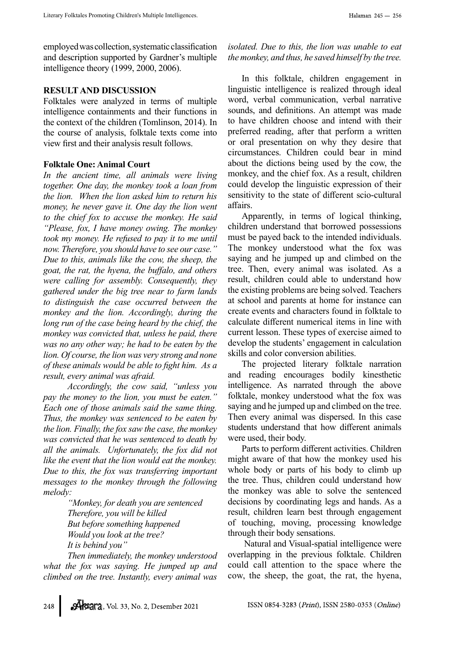employed was collection, systematic classification and description supported by Gardner's multiple intelligence theory (1999, 2000, 2006).

## RESULT AND DISCUSSION

Folktales were analyzed in terms of multiple intelligence containments and their functions in the context of the children (Tomlinson, 2014). In the course of analysis, folktale texts come into view first and their analysis result follows.

## Folktale One: Animal Court

In the ancient time, all animals were living together. One day, the monkey took a loan from the lion. When the lion asked him to return his money, he never gave it. One day the lion went to the chief fox to accuse the monkey. He said "Please, fox, I have money owing. The monkey took my money. He refused to pay it to me until now. Therefore, you should have to see our case." Due to this, animals like the cow, the sheep, the goat, the rat, the hyena, the buffalo, and others were calling for assembly. Consequently, they gathered under the big tree near to farm lands to distinguish the case occurred between the monkey and the lion. Accordingly, during the long run of the case being heard by the chief, the monkey was convicted that, unless he paid, there was no any other way; he had to be eaten by the lion. Of course, the lion was very strong and none of these animals would be able to fight him. As  $a$ result, every animal was afraid.

Accordingly, the cow said, "unless you pay the money to the lion, you must be eaten." Each one of those animals said the same thing. Thus, the monkey was sentenced to be eaten by the lion. Finally, the fox saw the case, the monkey was convicted that he was sentenced to death by all the animals. Unfortunately, the fox did not like the event that the lion would eat the monkey. Due to this, the fox was transferring important messages to the monkey through the following melody:

> "Monkey, for death you are sentenced Therefore, you will be killed But before something happened Would you look at the tree? It is behind you"

Then immediately, the monkey understood what the fox was saying. He jumped up and climbed on the tree. Instantly, every animal was

isolated. Due to this, the lion was unable to eat the monkey, and thus, he saved himself by the tree.

In this folktale, children engagement in linguistic intelligence is realized through ideal word, verbal communication, verbal narrative sounds, and definitions. An attempt was made to have children choose and intend with their preferred reading, after that perform a written or oral presentation on why they desire that circumstances. Children could bear in mind about the dictions being used by the cow, the monkey, and the chief fox. As a result, children could develop the linguistic expression of their sensitivity to the state of different scio-cultural affairs.

Apparently, in terms of logical thinking, children understand that borrowed possessions must be payed back to the intended individuals. The monkey understood what the fox was saying and he jumped up and climbed on the tree. Then, every animal was isolated. As a result, children could able to understand how the existing problems are being solved. Teachers at school and parents at home for instance can create events and characters found in folktale to calculate different numerical items in line with current lesson. These types of exercise aimed to develop the students' engagement in calculation skills and color conversion abilities.

The projected literary folktale narration and reading encourages bodily kinesthetic intelligence. As narrated through the above folktale, monkey understood what the fox was saying and he jumped up and climbed on the tree. Then every animal was dispersed. In this case students understand that how different animals were used, their body.

Parts to perform different activities. Children might aware of that how the monkey used his whole body or parts of his body to climb up the tree. Thus, children could understand how the monkey was able to solve the sentenced decisions by coordinating legs and hands. As a result, children learn best through engagement of touching, moving, processing knowledge through their body sensations.

 Natural and Visual-spatial intelligence were overlapping in the previous folktale. Children could call attention to the space where the cow, the sheep, the goat, the rat, the hyena,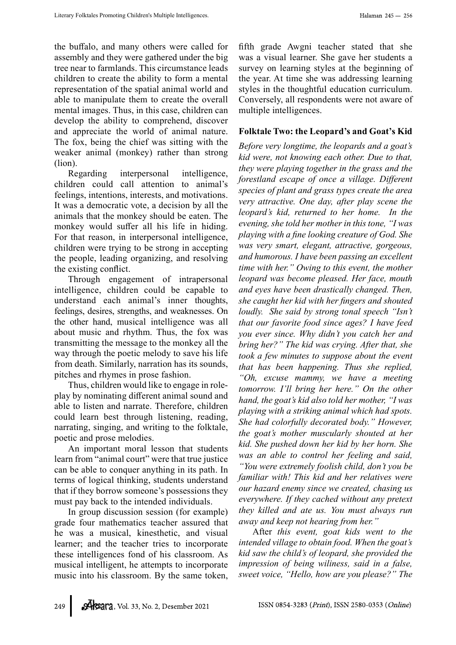the buffalo, and many others were called for assembly and they were gathered under the big tree near to farmlands. This circumstance leads children to create the ability to form a mental representation of the spatial animal world and able to manipulate them to create the overall mental images. Thus, in this case, children can develop the ability to comprehend, discover and appreciate the world of animal nature. The fox, being the chief was sitting with the weaker animal (monkey) rather than strong (lion).

Regarding interpersonal intelligence, children could call attention to animal's feelings, intentions, interests, and motivations. It was a democratic vote, a decision by all the animals that the monkey should be eaten. The monkey would suffer all his life in hiding. For that reason, in interpersonal intelligence, children were trying to be strong in accepting the people, leading organizing, and resolving the existing conflict.

Through engagement of intrapersonal intelligence, children could be capable to understand each animal's inner thoughts, feelings, desires, strengths, and weaknesses. On the other hand, musical intelligence was all about music and rhythm. Thus, the fox was transmitting the message to the monkey all the way through the poetic melody to save his life from death. Similarly, narration has its sounds, pitches and rhymes in prose fashion.

Thus, children would like to engage in roleplay by nominating different animal sound and able to listen and narrate. Therefore, children could learn best through listening, reading, narrating, singing, and writing to the folktale, poetic and prose melodies.

An important moral lesson that students learn from "animal court" were that true justice can be able to conquer anything in its path. In terms of logical thinking, students understand that if they borrow someone's possessions they must pay back to the intended individuals.

In group discussion session (for example) grade four mathematics teacher assured that he was a musical, kinesthetic, and visual learner; and the teacher tries to incorporate these intelligences fond of his classroom. As musical intelligent, he attempts to incorporate music into his classroom. By the same token,

fifth grade Awgni teacher stated that she was a visual learner. She gave her students a survey on learning styles at the beginning of the year. At time she was addressing learning styles in the thoughtful education curriculum. Conversely, all respondents were not aware of multiple intelligences.

# Folktale Two: the Leopard's and Goat's Kid

Before very longtime, the leopards and a goat's kid were, not knowing each other. Due to that, they were playing together in the grass and the forestland escape of once a village. Different species of plant and grass types create the area very attractive. One day, after play scene the leopard's kid, returned to her home. In the evening, she told her mother in this tone, "I was playing with a fine looking creature of God. She was very smart, elegant, attractive, gorgeous, and humorous. I have been passing an excellent time with her." Owing to this event, the mother leopard was become pleased. Her face, mouth and eyes have been drastically changed. Then, she caught her kid with her fingers and shouted loudly. She said by strong tonal speech "Isn't that our favorite food since ages? I have feed you ever since. Why didn't you catch her and bring her?" The kid was crying. After that, she took a few minutes to suppose about the event that has been happening. Thus she replied, "Oh, excuse mammy, we have a meeting tomorrow. I'll bring her here." On the other hand, the goat's kid also told her mother, "I was playing with a striking animal which had spots. She had colorfully decorated body." However, the goat's mother muscularly shouted at her kid. She pushed down her kid by her horn. She was an able to control her feeling and said, "You were extremely foolish child, don't you be familiar with! This kid and her relatives were our hazard enemy since we created, chasing us everywhere. If they cached without any pretext they killed and ate us. You must always run away and keep not hearing from her."

After this event, goat kids went to the intended village to obtain food. When the goat's kid saw the child's of leopard, she provided the impression of being wiliness, said in a false, sweet voice, "Hello, how are you please?" The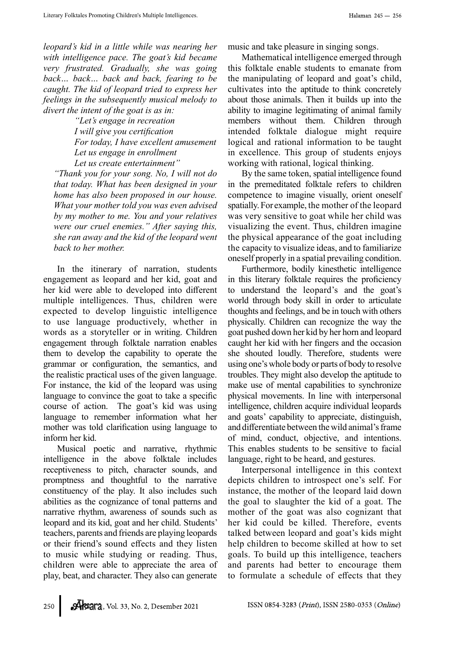leopard's kid in a little while was nearing her with intelligence pace. The goat's kid became very frustrated. Gradually, she was going back… back… back and back, fearing to be caught. The kid of leopard tried to express her feelings in the subsequently musical melody to divert the intent of the goat is as in:

> "Let's engage in recreation I will give you certification For today, I have excellent amusement Let us engage in enrollment Let us create entertainment"

"Thank you for your song. No, I will not do that today. What has been designed in your home has also been proposed in our house. What your mother told you was even advised by my mother to me. You and your relatives were our cruel enemies." After saying this, she ran away and the kid of the leopard went back to her mother.

In the itinerary of narration, students engagement as leopard and her kid, goat and her kid were able to developed into different multiple intelligences. Thus, children were expected to develop linguistic intelligence to use language productively, whether in words as a storyteller or in writing. Children engagement through folktale narration enables them to develop the capability to operate the grammar or configuration, the semantics, and the realistic practical uses of the given language. For instance, the kid of the leopard was using language to convince the goat to take a specific course of action. The goat's kid was using language to remember information what her mother was told clarification using language to inform her kid.

Musical poetic and narrative, rhythmic intelligence in the above folktale includes receptiveness to pitch, character sounds, and promptness and thoughtful to the narrative constituency of the play. It also includes such abilities as the cognizance of tonal patterns and narrative rhythm, awareness of sounds such as leopard and its kid, goat and her child. Students' teachers, parents and friends are playing leopards or their friend's sound effects and they listen to music while studying or reading. Thus, children were able to appreciate the area of play, beat, and character. They also can generate

music and take pleasure in singing songs.

Mathematical intelligence emerged through this folktale enable students to emanate from the manipulating of leopard and goat's child, cultivates into the aptitude to think concretely about those animals. Then it builds up into the ability to imagine legitimating of animal family members without them. Children through intended folktale dialogue might require logical and rational information to be taught in excellence. This group of students enjoys working with rational, logical thinking.

By the same token, spatial intelligence found in the premeditated folktale refers to children competence to imagine visually, orient oneself spatially. For example, the mother of the leopard was very sensitive to goat while her child was visualizing the event. Thus, children imagine the physical appearance of the goat including the capacity to visualize ideas, and to familiarize oneself properly in a spatial prevailing condition.

Furthermore, bodily kinesthetic intelligence in this literary folktale requires the proficiency to understand the leopard's and the goat's world through body skill in order to articulate thoughts and feelings, and be in touch with others physically. Children can recognize the way the goat pushed down her kid by her horn and leopard caught her kid with her fingers and the occasion she shouted loudly. Therefore, students were using one's whole body or parts of body to resolve troubles. They might also develop the aptitude to make use of mental capabilities to synchronize physical movements. In line with interpersonal intelligence, children acquire individual leopards and goats' capability to appreciate, distinguish, and differentiate between the wild animal's frame of mind, conduct, objective, and intentions. This enables students to be sensitive to facial language, right to be heard, and gestures.

Interpersonal intelligence in this context depicts children to introspect one's self. For instance, the mother of the leopard laid down the goal to slaughter the kid of a goat. The mother of the goat was also cognizant that her kid could be killed. Therefore, events talked between leopard and goat's kids might help children to become skilled at how to set goals. To build up this intelligence, teachers and parents had better to encourage them to formulate a schedule of effects that they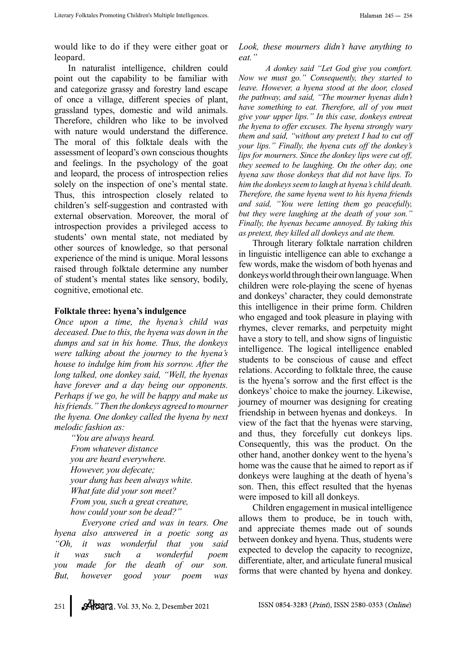would like to do if they were either goat or leopard.

In naturalist intelligence, children could point out the capability to be familiar with and categorize grassy and forestry land escape of once a village, different species of plant, grassland types, domestic and wild animals. Therefore, children who like to be involved with nature would understand the difference. The moral of this folktale deals with the assessment of leopard's own conscious thoughts and feelings. In the psychology of the goat and leopard, the process of introspection relies solely on the inspection of one's mental state. Thus, this introspection closely related to children's self-suggestion and contrasted with external observation. Moreover, the moral of introspection provides a privileged access to students' own mental state, not mediated by other sources of knowledge, so that personal experience of the mind is unique. Moral lessons raised through folktale determine any number of student's mental states like sensory, bodily, cognitive, emotional etc.

#### Folktale three: hyena's indulgence

Once upon a time, the hyena's child was deceased. Due to this, the hyena was down in the dumps and sat in his home. Thus, the donkeys were talking about the journey to the hyena's house to indulge him from his sorrow. After the long talked, one donkey said, "Well, the hyenas have forever and a day being our opponents. Perhaps if we go, he will be happy and make us his friends." Then the donkeys agreed to mourner the hyena. One donkey called the hyena by next melodic fashion as:

"You are always heard. From whatever distance you are heard everywhere. However, you defecate; your dung has been always white. What fate did your son meet? From you, such a great creature, how could your son be dead?"

 Everyone cried and was in tears. One hyena also answered in a poetic song as "Oh, it was wonderful that you said it was such a wonderful poem you made for the death of our son. But, however good your poem was

Look, these mourners didn't have anything to eat."

 A donkey said "Let God give you comfort. Now we must go." Consequently, they started to leave. However, a hyena stood at the door, closed the pathway, and said, "The mourner hyenas didn't have something to eat. Therefore, all of you must give your upper lips." In this case, donkeys entreat the hyena to offer excuses. The hyena strongly wary them and said, "without any pretext I had to cut off your lips." Finally, the hyena cuts off the donkey's lips for mourners. Since the donkey lips were cut off, they seemed to be laughing. On the other day, one hyena saw those donkeys that did not have lips. To him the donkeys seem to laugh at hyena's child death. Therefore, the same hyena went to his hyena friends and said, "You were letting them go peacefully, but they were laughing at the death of your son." Finally, the hyenas became annoyed. By taking this as pretext, they killed all donkeys and ate them.

Through literary folktale narration children in linguistic intelligence can able to exchange a few words, make the wisdom of both hyenas and donkeys world through their own language. When children were role-playing the scene of hyenas and donkeys' character, they could demonstrate this intelligence in their prime form. Children who engaged and took pleasure in playing with rhymes, clever remarks, and perpetuity might have a story to tell, and show signs of linguistic intelligence. The logical intelligence enabled students to be conscious of cause and effect relations. According to folktale three, the cause is the hyena's sorrow and the first effect is the donkeys' choice to make the journey. Likewise, journey of mourner was designing for creating friendship in between hyenas and donkeys. In view of the fact that the hyenas were starving, and thus, they forcefully cut donkeys lips. Consequently, this was the product. On the other hand, another donkey went to the hyena's home was the cause that he aimed to report as if donkeys were laughing at the death of hyena's son. Then, this effect resulted that the hyenas were imposed to kill all donkeys.

Children engagement in musical intelligence allows them to produce, be in touch with, and appreciate themes made out of sounds between donkey and hyena. Thus, students were expected to develop the capacity to recognize, differentiate, alter, and articulate funeral musical forms that were chanted by hyena and donkey.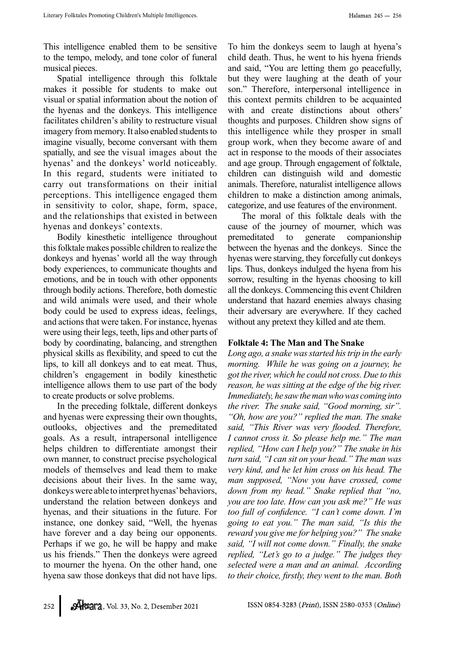This intelligence enabled them to be sensitive to the tempo, melody, and tone color of funeral musical pieces.

Spatial intelligence through this folktale makes it possible for students to make out visual or spatial information about the notion of the hyenas and the donkeys. This intelligence facilitates children's ability to restructure visual imagery from memory. It also enabled students to imagine visually, become conversant with them spatially, and see the visual images about the hyenas' and the donkeys' world noticeably. In this regard, students were initiated to carry out transformations on their initial perceptions. This intelligence engaged them in sensitivity to color, shape, form, space, and the relationships that existed in between hyenas and donkeys' contexts.

Bodily kinesthetic intelligence throughout this folktale makes possible children to realize the donkeys and hyenas' world all the way through body experiences, to communicate thoughts and emotions, and be in touch with other opponents through bodily actions. Therefore, both domestic and wild animals were used, and their whole body could be used to express ideas, feelings, and actions that were taken. For instance, hyenas were using their legs, teeth, lips and other parts of body by coordinating, balancing, and strengthen physical skills as flexibility, and speed to cut the lips, to kill all donkeys and to eat meat. Thus, children's engagement in bodily kinesthetic intelligence allows them to use part of the body to create products or solve problems.

In the preceding folktale, different donkeys and hyenas were expressing their own thoughts, outlooks, objectives and the premeditated goals. As a result, intrapersonal intelligence helps children to differentiate amongst their own manner, to construct precise psychological models of themselves and lead them to make decisions about their lives. In the same way, donkeys were able to interpret hyenas' behaviors, understand the relation between donkeys and hyenas, and their situations in the future. For instance, one donkey said, "Well, the hyenas have forever and a day being our opponents. Perhaps if we go, he will be happy and make us his friends." Then the donkeys were agreed to mourner the hyena. On the other hand, one hyena saw those donkeys that did not have lips. To him the donkeys seem to laugh at hyena's child death. Thus, he went to his hyena friends and said, "You are letting them go peacefully, but they were laughing at the death of your son." Therefore, interpersonal intelligence in this context permits children to be acquainted with and create distinctions about others' thoughts and purposes. Children show signs of this intelligence while they prosper in small group work, when they become aware of and act in response to the moods of their associates and age group. Through engagement of folktale, children can distinguish wild and domestic animals. Therefore, naturalist intelligence allows children to make a distinction among animals, categorize, and use features of the environment.

The moral of this folktale deals with the cause of the journey of mourner, which was premeditated to generate companionship between the hyenas and the donkeys. Since the hyenas were starving, they forcefully cut donkeys lips. Thus, donkeys indulged the hyena from his sorrow, resulting in the hyenas choosing to kill all the donkeys. Commencing this event Children understand that hazard enemies always chasing their adversary are everywhere. If they cached without any pretext they killed and ate them.

# Folktale 4: The Man and The Snake

Long ago, a snake was started his trip in the early morning. While he was going on a journey, he got the river, which he could not cross. Due to this reason, he was sitting at the edge of the big river. Immediately, he saw the man who was coming into the river. The snake said, "Good morning, sir". "Oh, how are you?" replied the man. The snake said, "This River was very flooded. Therefore, I cannot cross it. So please help me." The man replied, "How can I help you?" The snake in his turn said, "I can sit on your head." The man was very kind, and he let him cross on his head. The man supposed, "Now you have crossed, come down from my head." Snake replied that "no, you are too late. How can you ask me?" He was too full of confidence. "I can't come down. I'm going to eat you." The man said, "Is this the reward you give me for helping you?" The snake said, "I will not come down." Finally, the snake replied, "Let's go to a judge." The judges they selected were a man and an animal. According to their choice, firstly, they went to the man. Both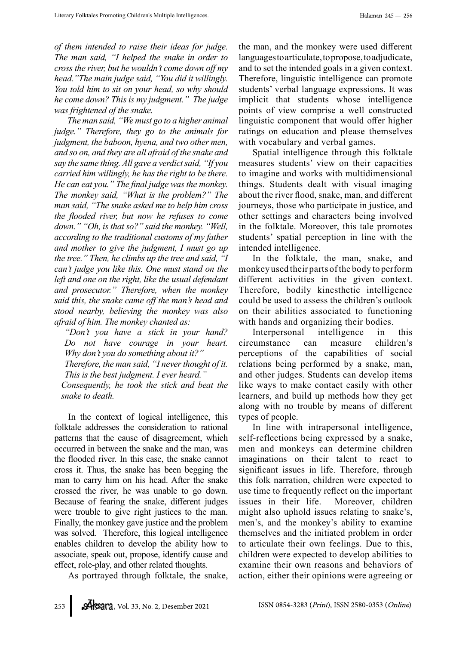of them intended to raise their ideas for judge. The man said, "I helped the snake in order to cross the river, but he wouldn't come down off my head."The main judge said, "You did it willingly. You told him to sit on your head, so why should he come down? This is my judgment." The judge was frightened of the snake.

 The man said, "We must go to a higher animal judge." Therefore, they go to the animals for judgment, the baboon, hyena, and two other men, and so on, and they are all afraid of the snake and say the same thing. All gave a verdict said, "If you carried him willingly, he has the right to be there. He can eat you." The final judge was the monkey. The monkey said, "What is the problem?" The man said, "The snake asked me to help him cross the flooded river, but now he refuses to come down." "Oh, is that so?" said the monkey. "Well, according to the traditional customs of my father and mother to give the judgment, I must go up the tree." Then, he climbs up the tree and said, "I can't judge you like this. One must stand on the left and one on the right, like the usual defendant and prosecutor." Therefore, when the monkey said this, the snake came off the man's head and stood nearby, believing the monkey was also afraid of him. The monkey chanted as:

"Don't you have a stick in your hand? Do not have courage in your heart. Why don't you do something about it?"

Therefore, the man said, "I never thought of it. This is the best judgment. I ever heard."

Consequently, he took the stick and beat the snake to death.

In the context of logical intelligence, this folktale addresses the consideration to rational patterns that the cause of disagreement, which occurred in between the snake and the man, was the flooded river. In this case, the snake cannot cross it. Thus, the snake has been begging the man to carry him on his head. After the snake crossed the river, he was unable to go down. Because of fearing the snake, different judges were trouble to give right justices to the man. Finally, the monkey gave justice and the problem was solved. Therefore, this logical intelligence enables children to develop the ability how to associate, speak out, propose, identify cause and effect, role-play, and other related thoughts.

As portrayed through folktale, the snake,

the man, and the monkey were used different languages to articulate, to propose, to adjudicate, and to set the intended goals in a given context. Therefore, linguistic intelligence can promote students' verbal language expressions. It was implicit that students whose intelligence points of view comprise a well constructed linguistic component that would offer higher ratings on education and please themselves with vocabulary and verbal games.

Spatial intelligence through this folktale measures students' view on their capacities to imagine and works with multidimensional things. Students dealt with visual imaging about the river flood, snake, man, and different journeys, those who participate in justice, and other settings and characters being involved in the folktale. Moreover, this tale promotes students' spatial perception in line with the intended intelligence.

In the folktale, the man, snake, and monkey used their parts of the body to perform different activities in the given context. Therefore, bodily kinesthetic intelligence could be used to assess the children's outlook on their abilities associated to functioning with hands and organizing their bodies.

Interpersonal intelligence in this circumstance can measure children's perceptions of the capabilities of social relations being performed by a snake, man, and other judges. Students can develop items like ways to make contact easily with other learners, and build up methods how they get along with no trouble by means of different types of people.

In line with intrapersonal intelligence, self-reflections being expressed by a snake, men and monkeys can determine children imaginations on their talent to react to significant issues in life. Therefore, through this folk narration, children were expected to use time to frequently reflect on the important issues in their life. Moreover, children might also uphold issues relating to snake's, men's, and the monkey's ability to examine themselves and the initiated problem in order to articulate their own feelings. Due to this, children were expected to develop abilities to examine their own reasons and behaviors of action, either their opinions were agreeing or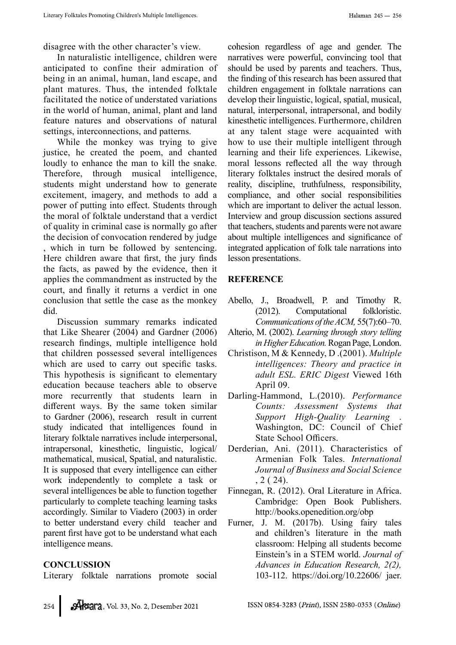disagree with the other character's view.

In naturalistic intelligence, children were anticipated to confine their admiration of being in an animal, human, land escape, and plant matures. Thus, the intended folktale facilitated the notice of understated variations in the world of human, animal, plant and land feature natures and observations of natural settings, interconnections, and patterns.

While the monkey was trying to give justice, he created the poem, and chanted loudly to enhance the man to kill the snake. Therefore, through musical intelligence, students might understand how to generate excitement, imagery, and methods to add a power of putting into effect. Students through the moral of folktale understand that a verdict of quality in criminal case is normally go after the decision of convocation rendered by judge , which in turn be followed by sentencing. Here children aware that first, the jury finds the facts, as pawed by the evidence, then it applies the commandment as instructed by the court, and finally it returns a verdict in one conclusion that settle the case as the monkey did.

Discussion summary remarks indicated that Like Shearer (2004) and Gardner (2006) research findings, multiple intelligence hold that children possessed several intelligences which are used to carry out specific tasks. This hypothesis is significant to elementary education because teachers able to observe more recurrently that students learn in different ways. By the same token similar to Gardner (2006), research result in current study indicated that intelligences found in literary folktale narratives include interpersonal, intrapersonal, kinesthetic, linguistic, logical/ mathematical, musical, Spatial, and naturalistic. It is supposed that every intelligence can either work independently to complete a task or several intelligences be able to function together particularly to complete teaching learning tasks accordingly. Similar to Viadero (2003) in order to better understand every child teacher and parent first have got to be understand what each intelligence means.

#### **CONCLUSSION**

Literary folktale narrations promote social

cohesion regardless of age and gender. The narratives were powerful, convincing tool that should be used by parents and teachers. Thus, the finding of this research has been assured that children engagement in folktale narrations can develop their linguistic, logical, spatial, musical, natural, interpersonal, intrapersonal, and bodily kinesthetic intelligences. Furthermore, children at any talent stage were acquainted with how to use their multiple intelligent through learning and their life experiences. Likewise, moral lessons reflected all the way through literary folktales instruct the desired morals of reality, discipline, truthfulness, responsibility, compliance, and other social responsibilities which are important to deliver the actual lesson. Interview and group discussion sections assured that teachers, students and parents were not aware about multiple intelligences and significance of integrated application of folk tale narrations into lesson presentations.

# **REFERENCE**

- Abello, J., Broadwell, P. and Timothy R. (2012). Computational folkloristic. Communications of the ACM, 55(7):60–70.
- Alterio, M. (2002). Learning through story telling in Higher Education. Rogan Page, London.
- Christison, M & Kennedy, D .(2001). Multiple intelligences: Theory and practice in adult ESL. ERIC Digest Viewed 16th April 09.
- Darling-Hammond, L.(2010). Performance Counts: Assessment Systems that Support High-Quality Learning Washington, DC: Council of Chief State School Officers.
- Derderian, Ani. (2011). Characteristics of Armenian Folk Tales. International Journal of Business and Social Science , 2 ( 24).
- Finnegan, R. (2012). Oral Literature in Africa. Cambridge: Open Book Publishers. http://books.openedition.org/obp
- Furner, J. M. (2017b). Using fairy tales and children's literature in the math classroom: Helping all students become Einstein's in a STEM world. Journal of Advances in Education Research, 2(2), 103-112. https://doi.org/10.22606/ jaer.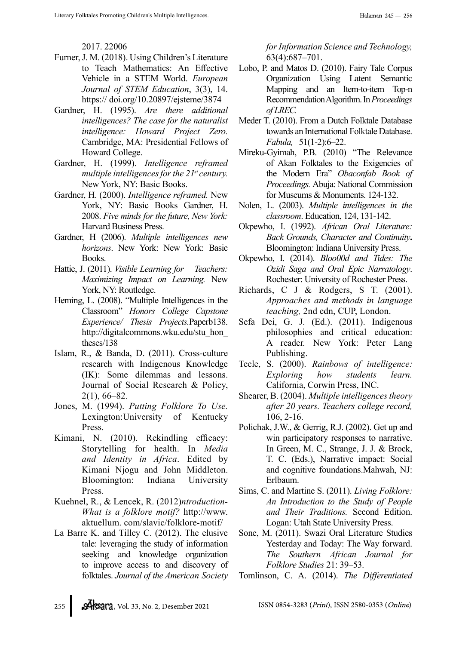2017. 22006

- Furner, J. M. (2018). Using Children's Literature to Teach Mathematics: An Effective Vehicle in a STEM World. European Journal of STEM Education, 3(3), 14. https:// doi.org/10.20897/ejsteme/3874
- Gardner, H. (1995). Are there additional intelligences? The case for the naturalist intelligence: Howard Project Zero. Cambridge, MA: Presidential Fellows of Howard College.
- Gardner, H. (1999). Intelligence reframed multiple intelligences for the  $21<sup>st</sup>$  century. New York, NY: Basic Books.
- Gardner, H. (2000). Intelligence reframed. New York, NY: Basic Books Gardner, H. 2008. Five minds for the future, New York: Harvard Business Press.
- Gardner, H (2006). Multiple intelligences new horizons. New York: New York: Basic Books.
- Hattie, J. (2011). Visible Learning for Teachers: Maximizing Impact on Learning. New York, NY: Routledge.
- Heming, L. (2008). "Multiple Intelligences in the Classroom" Honors College Capstone Experience/ Thesis Projects.Paperb138. http://digitalcommons.wku.edu/stu\_hon\_ theses/138
- Islam, R., & Banda, D. (2011). Cross-culture research with Indigenous Knowledge (IK): Some dilemmas and lessons. Journal of Social Research & Policy, 2(1), 66–82.
- Jones, M. (1994). Putting Folklore To Use. Lexington:University of Kentucky Press.
- Kimani, N. (2010). Rekindling efficacy: Storytelling for health. In Media and Identity in Africa. Edited by Kimani Njogu and John Middleton. Bloomington: Indiana University Press.
- Kuehnel, R., & Lencek, R. (2012)ntroduction-What is a folklore motif? http://www. aktuellum. com/slavic/folklore-motif/
- La Barre K. and Tilley C. (2012). The elusive tale: leveraging the study of information seeking and knowledge organization to improve access to and discovery of folktales. Journal of the American Society

for Information Science and Technology, 63(4):687–701.

- Lobo, P. and Matos D. (2010). Fairy Tale Corpus Organization Using Latent Semantic Mapping and an Item-to-item Top-n Recommendation Algorithm. In Proceedings of LREC.
- Meder T. (2010). From a Dutch Folktale Database towards an International Folktale Database. Fabula, 51(1-2):6–22.
- Mireku-Gyimah, P.B. (2010) "The Relevance of Akan Folktales to the Exigencies of the Modern Era" Obaconfab Book of Proceedings. Abuja: National Commission for Museums & Monuments. 124-132.
- Nolen, L. (2003). Multiple intelligences in the classroom. Education, 124, 131-142.
- Okpewho, I. (1992). African Oral Literature: Back Grounds, Character and Continuity. Bloomington: Indiana University Press.
- Okpewho, I. (2014). Bloo00d and Tides: The Ozidi Saga and Oral Epic Narratology. Rochester: University of Rochester Press.
- Richards, C J & Rodgers, S T. (2001). Approaches and methods in language teaching, 2nd edn, CUP, London.
- Sefa Dei, G. J. (Ed.). (2011). Indigenous philosophies and critical education: A reader. New York: Peter Lang Publishing.
- Teele, S. (2000). Rainbows of intelligence: Exploring how students learn. California, Corwin Press, INC.
- Shearer, B. (2004). Multiple intelligences theory after 20 years. Teachers college record, 106, 2-16.
- Polichak, J.W., & Gerrig, R.J. (2002). Get up and win participatory responses to narrative. In Green, M. C., Strange, J. J. & Brock, T. C. (Eds.), Narrative impact: Social and cognitive foundations.Mahwah, NJ: Erlbaum.
- Sims, C. and Martine S. (2011). Living Folklore: An Introduction to the Study of People and Their Traditions. Second Edition. Logan: Utah State University Press.
- Sone, M. (2011). Swazi Oral Literature Studies Yesterday and Today: The Way forward. The Southern African Journal for Folklore Studies 21: 39–53.
- Tomlinson, C. A. (2014). The Differentiated